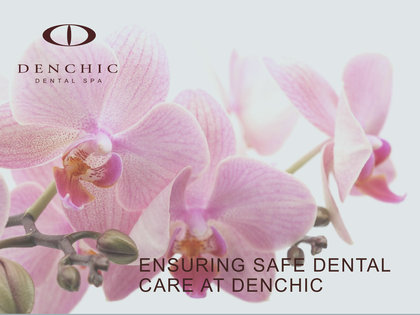# $\bigodot$

#### DENCHIC DENTAL SPA

## ENSURING SAFE DENTAL CARE AT DENCHIC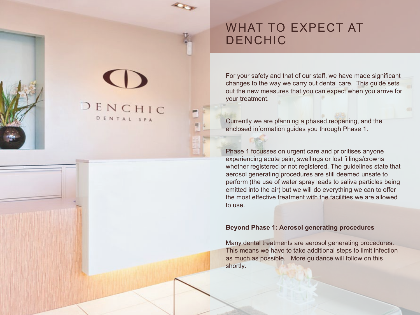## WHAT TO EXPECT AT DENCHIC

DENCHIC DENTAL SPA

For your safety and that of our staff, we have made significant changes to the way we carry out dental care. This guide sets out the new measures that you can expect when you arrive for your treatment.

Currently we are planning a phased reopening, and the enclosed information guides you through Phase 1.

Phase 1 focusses on urgent care and prioritises anyone experiencing acute pain, swellings or lost fillings/crowns whether registered or not registered. The guidelines state that aerosol generating procedures are still deemed unsafe to perform (the use of water spray leads to saliva particles being emitted into the air) but we will do everything we can to offer the most effective treatment with the facilities we are allowed to use.

#### **Beyond Phase 1: Aerosol generating procedures**

Many dental treatments are aerosol generating procedures. This means we have to take additional steps to limit infection as much as possible. More guidance will follow on this shortly.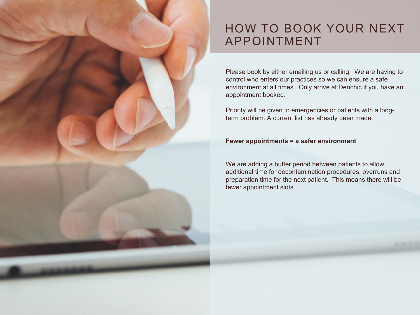## HOW TO BOOK YOUR NEXT APPOINTMENT

Please book by either emailing us or calling. We are having to control who enters our practices so we can ensure a safe environment at all times. Only arrive at Denchic if you have an appointment booked.

Priority will be given to emergencies or patients with a longterm problem. A current list has already been made.

#### **Fewer appointments = a safer environment**

We are adding a buffer period between patients to allow additional time for decontamination procedures, overruns and preparation time for the next patient. This means there will be fewer appointment slots.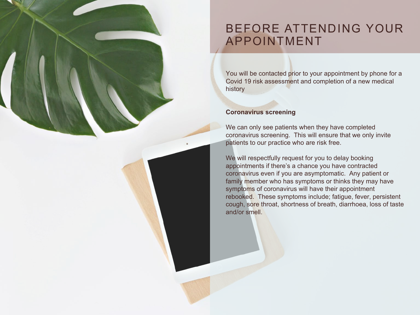## BEFORE ATTENDING YOUR APPOINTMENT

You will be contacted prior to your appointment by phone for a Covid 19 risk assessment and completion of a new medical history

#### **Coronavirus screening**

We can only see patients when they have completed coronavirus screening. This will ensure that we only invite patients to our practice who are risk free.

We will respectfully request for you to delay booking appointments if there's a chance you have contracted coronavirus even if you are asymptomatic. Any patient or family member who has symptoms or thinks they may have symptoms of coronavirus will have their appointment rebooked. These symptoms include; fatigue, fever, persistent cough, sore throat, shortness of breath, diarrhoea, loss of taste and/or smell.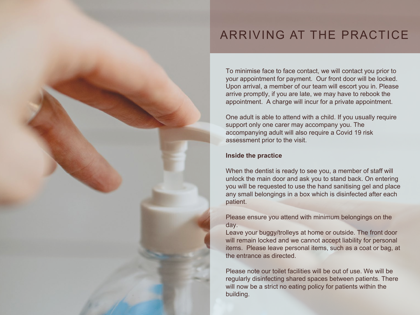## ARRIVING AT THE PRACTICE

To minimise face to face contact, we will contact you prior to your appointment for payment. Our front door will be locked. Upon arrival, a member of our team will escort you in. Please arrive promptly, if you are late, we may have to rebook the appointment. A charge will incur for a private appointment.

One adult is able to attend with a child. If you usually require support only one carer may accompany you. The accompanying adult will also require a Covid 19 risk assessment prior to the visit.

#### **Inside the practice**

When the dentist is ready to see you, a member of staff will unlock the main door and ask you to stand back. On entering you will be requested to use the hand sanitising gel and place any small belongings in a box which is disinfected after each patient.

Please ensure you attend with minimum belongings on the day.

Leave your buggy/trolleys at home or outside. The front door will remain locked and we cannot accept liability for personal items. Please leave personal items, such as a coat or bag, at the entrance as directed.

Please note our toilet facilities will be out of use. We will be regularly disinfecting shared spaces between patients. There will now be a strict no eating policy for patients within the building.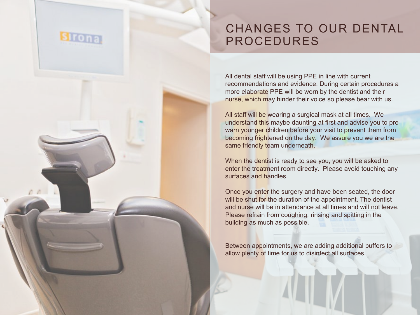## CHANGES TO OUR DENTAL PROCEDURES

**Sirona** 

All dental staff will be using PPE in line with current recommendations and evidence. During certain procedures a more elaborate PPE will be worn by the dentist and their nurse, which may hinder their voice so please bear with us.

All staff will be wearing a surgical mask at all times. We understand this maybe daunting at first and advise you to prewarn younger children before your visit to prevent them from becoming frightened on the day. We assure you we are the same friendly team underneath.

When the dentist is ready to see you, you will be asked to enter the treatment room directly. Please avoid touching any surfaces and handles.

Once you enter the surgery and have been seated, the door will be shut for the duration of the appointment. The dentist and nurse will be in attendance at all times and will not leave. Please refrain from coughing, rinsing and spitting in the building as much as possible.

Between appointments, we are adding additional buffers to allow plenty of time for us to disinfect all surfaces.